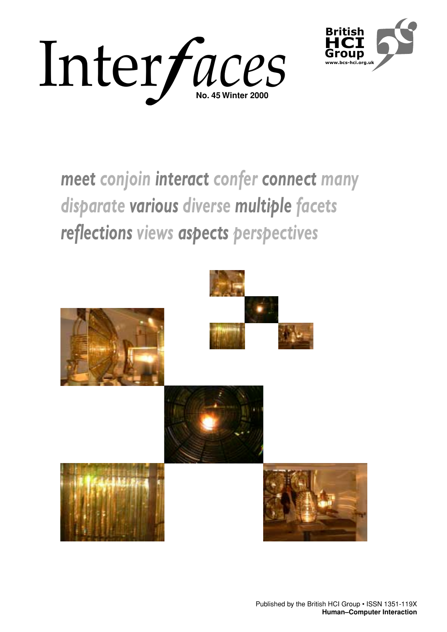



# *meet conjoin interact confer connect many disparate various diverse multiple facets reflections views aspects perspectives*

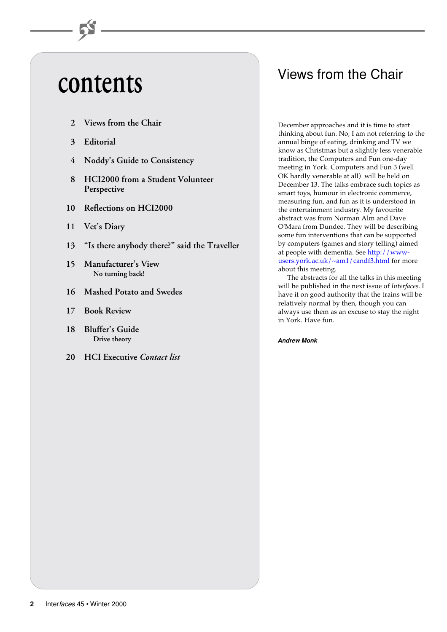# **contents**

- **2 Views from the Chair**
- **3 Editorial**
- **4 Noddy's Guide to Consistency**
- **8 HCI2000 from a Student Volunteer Perspective**
- **10 Reflections on HCI2000**
- **11 Vet's Diary**
- **13 "Is there anybody there?" said the Traveller**
- **15 Manufacturer's View No turning back!**
- **16 Mashed Potato and Swedes**
- **17 Book Review**
- **18 Bluffer's Guide Drive theory**
- **20 HCI Executive** *Contact list*

# Views from the Chair

December approaches and it is time to start thinking about fun. No, I am not referring to the annual binge of eating, drinking and TV we know as Christmas but a slightly less venerable tradition, the Computers and Fun one-day meeting in York. Computers and Fun 3 (well OK hardly venerable at all) will be held on December 13. The talks embrace such topics as smart toys, humour in electronic commerce, measuring fun, and fun as it is understood in the entertainment industry. My favourite abstract was from Norman Alm and Dave O'Mara from Dundee. They will be describing some fun interventions that can be supported by computers (games and story telling) aimed at people with dementia. See http://www[users.york.ac.uk/~am1/candf3.html for mo](http://www-users.york.ac.uk/~am1/candf3.html)re about this meeting.

The abstracts for all the talks in this meeting will be published in the next issue of *Interfaces*. I have it on good authority that the trains will be relatively normal by then, though you can always use them as an excuse to stay the night in York. Have fun.

### **Andrew Monk**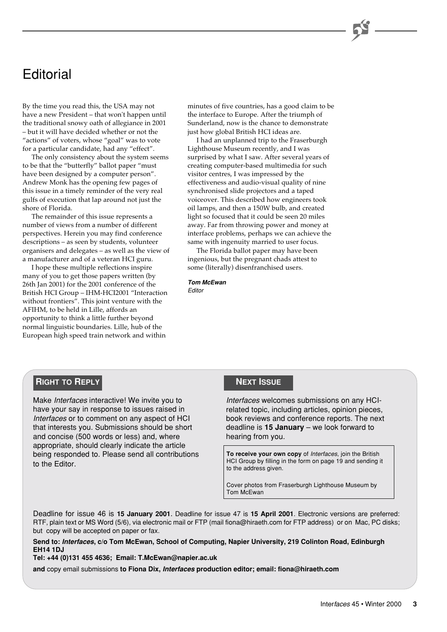# **Editorial**

By the time you read this, the USA may not have a new President – that won't happen until the traditional snowy oath of allegiance in 2001 – but it will have decided whether or not the "actions" of voters, whose "goal" was to vote for a particular candidate, had any "effect".

The only consistency about the system seems to be that the "butterfly" ballot paper "must have been designed by a computer person". Andrew Monk has the opening few pages of this issue in a timely reminder of the very real gulfs of execution that lap around not just the shore of Florida.

The remainder of this issue represents a number of views from a number of different perspectives. Herein you may find conference descriptions – as seen by students, volunteer organisers and delegates – as well as the view of a manufacturer and of a veteran HCI guru.

I hope these multiple reflections inspire many of you to get those papers written (by 26th Jan 2001) for the 2001 conference of the British HCI Group – IHM-HCI2001 "Interaction without frontiers". This joint venture with the AFIHM, to be held in Lille, affords an opportunity to think a little further beyond normal linguistic boundaries. Lille, hub of the European high speed train network and within

minutes of five countries, has a good claim to be the interface to Europe. After the triumph of Sunderland, now is the chance to demonstrate just how global British HCI ideas are.

I had an unplanned trip to the Fraserburgh Lighthouse Museum recently, and I was surprised by what I saw. After several years of creating computer-based multimedia for such visitor centres, I was impressed by the effectiveness and audio-visual quality of nine synchronised slide projectors and a taped voiceover. This described how engineers took oil lamps, and then a 150W bulb, and created light so focused that it could be seen 20 miles away. Far from throwing power and money at interface problems, perhaps we can achieve the same with ingenuity married to user focus.

The Florida ballot paper may have been ingenious, but the pregnant chads attest to some (literally) disenfranchised users.

**Tom McEwan** Editor

### **RIGHT TO REPLY**

Make Interfaces interactive! We invite you to have your say in response to issues raised in Interfaces or to comment on any aspect of HCI that interests you. Submissions should be short and concise (500 words or less) and, where appropriate, should clearly indicate the article being responded to. Please send all contributions to the Editor.

### **NEXT ISSUE**

Interfaces welcomes submissions on any HCIrelated topic, including articles, opinion pieces, book reviews and conference reports. The next deadline is **15 January** – we look forward to hearing from you.

**To receive your own copy** of Interfaces, join the British HCI Group by filling in the form on page 19 and sending it to the address given.

Cover photos from Fraserburgh Lighthouse Museum by Tom McEwan

Deadline for issue 46 is **15 January 2001**. Deadline for issue 47 is **15 April 2001**. Electronic versions are preferred: RTF, plain text or MS Word (5/6), via electronic mail or FTP (mail fiona@hiraeth.com for FTP address) or on Mac, PC disks; but copy will be accepted on paper or fax.

**Send to: Interfaces, c/o Tom McEwan, School of Computing, Napier University, 219 Colinton Road, Edinburgh EH14 1DJ**

**Tel: +44 (0)131 455 4636; Email: T.McEwan@napier.ac.uk**

**and** copy email submissions **to Fiona Dix, Interfaces production editor; email: fiona@hiraeth.com**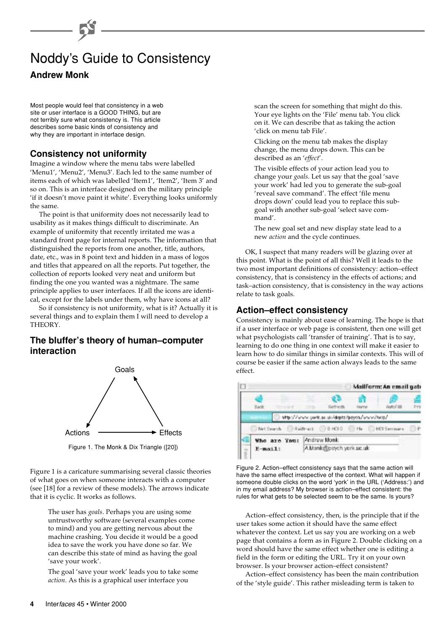## Noddy's Guide to Consistency **Andrew Monk**

Most people would feel that consistency in a web site or user interface is a GOOD THING, but are not terribly sure what consistency is. This article describes some basic kinds of consistency and

### **Consistency not uniformity**

why they are important in interface design.

Imagine a window where the menu tabs were labelled 'Menu1', 'Menu2', 'Menu3'. Each led to the same number of items each of which was labelled 'Item1', 'Item2', 'Item 3' and so on. This is an interface designed on the military principle 'if it doesn't move paint it white'. Everything looks uniformly the same.

The point is that uniformity does not necessarily lead to usability as it makes things difficult to discriminate. An example of uniformity that recently irritated me was a standard front page for internal reports. The information that distinguished the reports from one another, title, authors, date, etc., was in 8 point text and hidden in a mass of logos and titles that appeared on all the reports. Put together, the collection of reports looked very neat and uniform but finding the one you wanted was a nightmare. The same principle applies to user interfaces. If all the icons are identical, except for the labels under them, why have icons at all?

So if consistency is not uniformity, what is it? Actually it is several things and to explain them I will need to develop a THEORY.

### **The bluffer's theory of human–computer interaction**



Figure 1. The Monk & Dix Triangle ([20])

Figure 1 is a caricature summarising several classic theories of what goes on when someone interacts with a computer (see [18] for a review of these models). The arrows indicate that it is cyclic. It works as follows.

> The user has *goals*. Perhaps you are using some untrustworthy software (several examples come to mind) and you are getting nervous about the machine crashing. You decide it would be a good idea to save the work you have done so far. We can describe this state of mind as having the goal 'save your work'.

> The goal 'save your work' leads you to take some *action*. As this is a graphical user interface you

scan the screen for something that might do this. Your eye lights on the 'File' menu tab. You click on it. We can describe that as taking the action 'click on menu tab File'.

Clicking on the menu tab makes the display change, the menu drops down. This can be described as an '*effect*'.

The visible effects of your action lead you to change your *goals*. Let us say that the goal 'save your work' had led you to generate the sub-goal 'reveal save command'. The effect 'file menu drops down' could lead you to replace this subgoal with another sub-goal 'select save command'.

The new goal set and new display state lead to a new *action* and the cycle continues.

OK, I suspect that many readers will be glazing over at this point. What is the point of all this? Well it leads to the two most important definitions of consistency: action–effect consistency, that is consistency in the effects of actions; and task–action consistency, that is consistency in the way actions relate to task goals.

### **Action–effect consistency**

Consistency is mainly about ease of learning. The hope is that if a user interface or web page is consistent, then one will get what psychologists call 'transfer of training'. That is to say, learning to do one thing in one context will make it easier to learn how to do similar things in similar contexts. This will of course be easier if the same action always leads to the same effect.

|               | Mailform: An email gate                     |  |                  |  |
|---------------|---------------------------------------------|--|------------------|--|
| <b>Pullet</b> |                                             |  |                  |  |
|               | Mtp://www.yeric.ac.ac/depts/psych/www/heis/ |  |                  |  |
| Met Search    | CO/E HOLD<br>Railfrack                      |  | 196 PCI Serrears |  |
| Who are You:  | Andrew Monk                                 |  |                  |  |
| $E$ -mail:    | A Monk@poych.york.ac.uk                     |  |                  |  |

Figure 2. Action–effect consistency says that the same action will have the same effect irrespective of the context. What will happen if someone double clicks on the word 'york' in the URL ('Address:') and in my email address? My browser is action–effect consistent: the rules for what gets to be selected seem to be the same. Is yours?

Action–effect consistency, then, is the principle that if the user takes some action it should have the same effect whatever the context. Let us say you are working on a web page that contains a form as in Figure 2. Double clicking on a word should have the same effect whether one is editing a field in the form or editing the URL. Try it on your own browser. Is your browser action–effect consistent?

Action–effect consistency has been the main contribution of the 'style guide'. This rather misleading term is taken to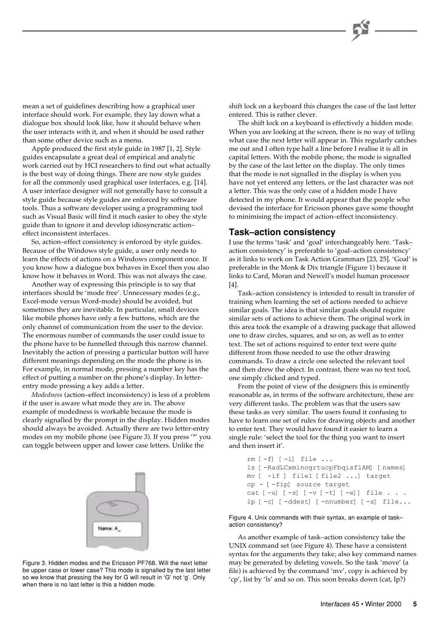mean a set of guidelines describing how a graphical user interface should work. For example, they lay down what a dialogue box should look like, how it should behave when the user interacts with it, and when it should be used rather than some other device such as a menu.

Apple produced the first style guide in 1987 [1, 2]. Style guides encapsulate a great deal of empirical and analytic work carried out by HCI researchers to find out what actually is the best way of doing things. There are now style guides for all the commonly used graphical user interfaces, e.g. [14]. A user interface designer will not generally have to consult a style guide because style guides are enforced by software tools. Thus a software developer using a programming tool such as Visual Basic will find it much easier to obey the style guide than to ignore it and develop idiosyncratic action– effect inconsistent interfaces.

So, action–effect consistency is enforced by style guides. Because of the Windows style guide, a user only needs to learn the effects of actions on a Windows component once. If you know how a dialogue box behaves in Excel then you also know how it behaves in Word. This was not always the case.

Another way of expressing this principle is to say that interfaces should be 'mode free'. Unnecessary modes (e.g., Excel-mode versus Word-mode) should be avoided, but sometimes they are inevitable. In particular, small devices like mobile phones have only a few buttons, which are the only channel of communication from the user to the device. The enormous number of commands the user could issue to the phone have to be funnelled through this narrow channel. Inevitably the action of pressing a particular button will have different meanings depending on the mode the phone is in. For example, in normal mode, pressing a number key has the effect of putting a number on the phone's display. In letterentry mode pressing a key adds a letter.

*Modedness* (action–effect inconsistency) is less of a problem if the user is aware what mode they are in. The above example of modedness is workable because the mode is clearly signalled by the prompt in the display. Hidden modes should always be avoided. Actually there are two letter-entry modes on my mobile phone (see Figure 3). If you press '\*' you can toggle between upper and lower case letters. Unlike the



Figure 3. Hidden modes and the Ericsson PF768. Will the next letter be upper case or lower case? This mode is signalled by the last letter so we know that pressing the key for G will result in 'G' not 'g'. Only when there is no last letter is this a hidden mode.

shift lock on a keyboard this changes the case of the last letter entered. This is rather clever.

The shift lock on a keyboard is effectively a hidden mode. When you are looking at the screen, there is no way of telling what case the next letter will appear in. This regularly catches me out and I often type half a line before I realise it is all in capital letters. With the mobile phone, the mode is signalled by the case of the last letter on the display. The only times that the mode is not signalled in the display is when you have not yet entered any letters, or the last character was not a letter. This was the only case of a hidden mode I have detected in my phone. It would appear that the people who devised the interface for Ericsson phones gave some thought to minimising the impact of action–effect inconsistency.

### **Task–action consistency**

I use the terms 'task' and 'goal' interchangeably here. 'Task– action consistency' is preferable to 'goal–action consistency' as it links to work on Task Action Grammars [23, 25]. 'Goal' is preferable in the Monk & Dix triangle (Figure 1) because it links to Card, Moran and Newell's model human processor [4].

Task–action consistency is intended to result in transfer of training when learning the set of actions needed to achieve similar goals. The idea is that similar goals should require similar sets of actions to achieve them. The original work in this area took the example of a drawing package that allowed one to draw circles, squares, and so on, as well as to enter text. The set of actions required to enter text were quite different from those needed to use the other drawing commands. To draw a circle one selected the relevant tool and then drew the object. In contrast, there was no text tool, one simply clicked and typed.

From the point of view of the designers this is eminently reasonable as, in terms of the software architecture, these are very different tasks. The problem was that the users saw these tasks as very similar. The users found it confusing to have to learn one set of rules for drawing objects and another to enter text. They would have found it easier to learn a single rule: 'select the tool for the thing you want to insert and then insert it'.

```
rm [-f] [-i] file ...
ls [-RadLCxmlnogrtucpFbqisf1AM] [names]
mv [ -if ] file1 [file2 ...] target
cp - [-fip] source target
cat [-u] [-s] [-v] [-t] [-e] [ [ -1] [ [ -1] [ -1] [ -1] [ -1] [ -1] [ -1] [ -1] [ -1] [ -1] [ -1] [ -1] [ -1] [ -1] [ -1] [ -1] [ -1] [ -1]lp [-c] [-ddest] [-nnumber] [-s] file...
```
Figure 4. Unix commands with their syntax, an example of task– action consistency?

As another example of task–action consistency take the UNIX command set (see Figure 4). These have a consistent syntax for the arguments they take; also key command names may be generated by deleting vowels. So the task 'move' (a file) is achieved by the command 'mv', copy is achieved by 'cp', list by 'ls' and so on. This soon breaks down (cat, lp?)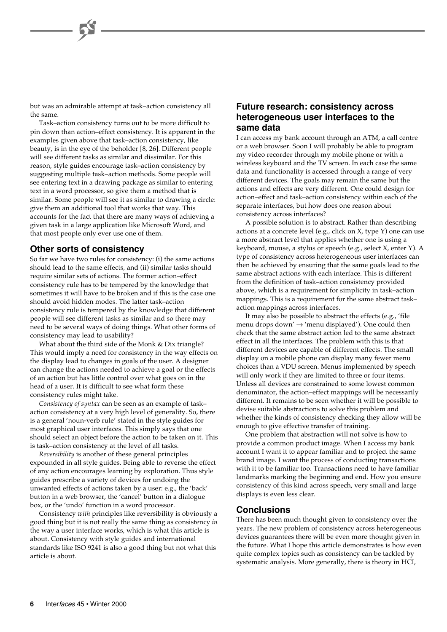but was an admirable attempt at task–action consistency all the same.

Task–action consistency turns out to be more difficult to pin down than action–effect consistency. It is apparent in the examples given above that task–action consistency, like beauty, is in the eye of the beholder [8, 26]. Different people will see different tasks as similar and dissimilar. For this reason, style guides encourage task–action consistency by suggesting multiple task–action methods. Some people will see entering text in a drawing package as similar to entering text in a word processor, so give them a method that is similar. Some people will see it as similar to drawing a circle: give them an additional tool that works that way. This accounts for the fact that there are many ways of achieving a given task in a large application like Microsoft Word, and that most people only ever use one of them.

### **Other sorts of consistency**

So far we have two rules for consistency: (i) the same actions should lead to the same effects, and (ii) similar tasks should require similar sets of actions. The former action–effect consistency rule has to be tempered by the knowledge that sometimes it will have to be broken and if this is the case one should avoid hidden modes. The latter task–action consistency rule is tempered by the knowledge that different people will see different tasks as similar and so there may need to be several ways of doing things. What other forms of consistency may lead to usability?

What about the third side of the Monk & Dix triangle? This would imply a need for consistency in the way effects on the display lead to changes in goals of the user. A designer can change the actions needed to achieve a goal or the effects of an action but has little control over what goes on in the head of a user. It is difficult to see what form these consistency rules might take.

*Consistency of syntax* can be seen as an example of task– action consistency at a very high level of generality. So, there is a general 'noun-verb rule' stated in the style guides for most graphical user interfaces. This simply says that one should select an object before the action to be taken on it. This is task–action consistency at the level of all tasks.

*Reversibility* is another of these general principles expounded in all style guides. Being able to reverse the effect of any action encourages learning by exploration. Thus style guides prescribe a variety of devices for undoing the unwanted effects of actions taken by a user: e.g., the 'back' button in a web browser, the 'cancel' button in a dialogue box, or the 'undo' function in a word processor.

Consistency *with* principles like reversibility is obviously a good thing but it is not really the same thing as consistency *in* the way a user interface works, which is what this article is about. Consistency with style guides and international standards like ISO 9241 is also a good thing but not what this article is about.

### **Future research: consistency across heterogeneous user interfaces to the same data**

I can access my bank account through an ATM, a call centre or a web browser. Soon I will probably be able to program my video recorder through my mobile phone or with a wireless keyboard and the TV screen. In each case the same data and functionality is accessed through a range of very different devices. The goals may remain the same but the actions and effects are very different. One could design for action–effect and task–action consistency within each of the separate interfaces, but how does one reason about consistency across interfaces?

A possible solution is to abstract. Rather than describing actions at a concrete level (e.g., click on X, type Y) one can use a more abstract level that applies whether one is using a keyboard, mouse, a stylus or speech (e.g., select X, enter Y). A type of consistency across heterogeneous user interfaces can then be achieved by ensuring that the same goals lead to the same abstract actions with each interface. This is different from the definition of task–action consistency provided above, which is a requirement for simplicity in task–action mappings. This is a requirement for the same abstract task– action mappings across interfaces.

It may also be possible to abstract the effects (e.g., 'file menu drops down'  $\rightarrow$  'menu displayed'). One could then check that the same abstract action led to the same abstract effect in all the interfaces. The problem with this is that different devices are capable of different effects. The small display on a mobile phone can display many fewer menu choices than a VDU screen. Menus implemented by speech will only work if they are limited to three or four items. Unless all devices are constrained to some lowest common denominator, the action–effect mappings will be necessarily different. It remains to be seen whether it will be possible to devise suitable abstractions to solve this problem and whether the kinds of consistency checking they allow will be enough to give effective transfer of training.

One problem that abstraction will not solve is how to provide a common product image. When I access my bank account I want it to appear familiar and to project the same brand image. I want the process of conducting transactions with it to be familiar too. Transactions need to have familiar landmarks marking the beginning and end. How you ensure consistency of this kind across speech, very small and large displays is even less clear.

### **Conclusions**

There has been much thought given to consistency over the years. The new problem of consistency across heterogeneous devices guarantees there will be even more thought given in the future. What I hope this article demonstrates is how even quite complex topics such as consistency can be tackled by systematic analysis. More generally, there is theory in HCI,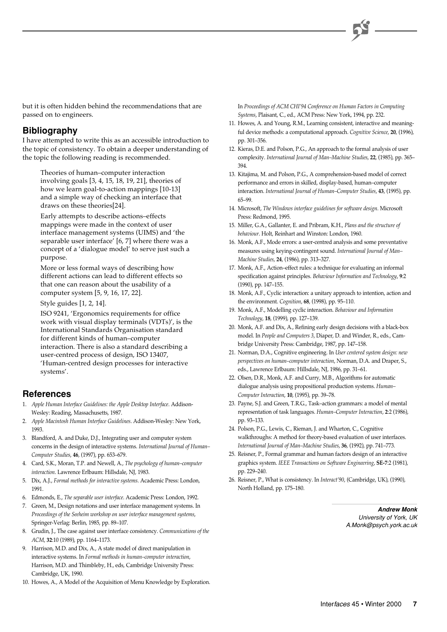but it is often hidden behind the recommendations that are passed on to engineers.

### **Bibliography**

I have attempted to write this as an accessible introduction to the topic of consistency. To obtain a deeper understanding of the topic the following reading is recommended.

Theories of human–computer interaction involving goals [3, 4, 15, 18, 19, 21], theories of how we learn goal-to-action mappings [10-13] and a simple way of checking an interface that draws on these theories[24].

Early attempts to describe actions–effects mappings were made in the context of user interface management systems (UIMS) and 'the separable user interface' [6, 7] where there was a concept of a 'dialogue model' to serve just such a purpose.

More or less formal ways of describing how different actions can lead to different effects so that one can reason about the usability of a computer system [5, 9, 16, 17, 22].

Style guides [1, 2, 14].

ISO 9241, 'Ergonomics requirements for office work with visual display terminals (VDTs)', is the International Standards Organisation standard for different kinds of human–computer interaction. There is also a standard describing a user-centred process of design, ISO 13407, 'Human-centred design processes for interactive systems'.

### **References**

- 1. *Apple Human Interface Guidelines: the Apple Desktop Interface*. Addison-Wesley: Reading, Massachusetts, 1987.
- 2. *Apple Macintosh Human Interface Guidelines*. Addison-Wesley: New York, 1993.
- 3. Blandford, A. and Duke, D.J., Integrating user and computer system concerns in the design of interactive systems. *International Journal of Human– Computer Studies*, **46**, (1997), pp. 653–679.
- 4. Card, S.K., Moran, T.P. and Newell, A., *The psychology of human–computer interaction*. Lawrence Erlbaum: Hillsdale, NJ, 1983.
- 5. Dix, A.J., *Formal methods for interactive systems*. Academic Press: London, 1991.
- 6. Edmonds, E., *The separable user interface*. Academic Press: London, 1992.
- 7. Green, M., Design notations and user interface management systems. In *Proceedings of the Seeheim workshop on user interface management systems*, Springer-Verlag: Berlin, 1985, pp. 89–107.
- 8. Grudin, J., The case against user interface consistency. *Communications of the ACM*, **32**:10 (1989), pp. 1164–1173.
- 9. Harrison, M.D. and Dix, A., A state model of direct manipulation in interactive systems. In *Formal methods in human–computer interaction*, Harrison, M.D. and Thimbleby, H., eds, Cambridge University Press: Cambridge, UK, 1990.
- 10. Howes, A., A Model of the Acquisition of Menu Knowledge by Exploration.

In *Proceedings of ACM CHI'94 Conference on Human Factors in Computing Systems*, Plaisant, C., ed., ACM Press: New York, 1994, pp. 232.

- 11. Howes, A. and Young, R.M., Learning consistent, interactive and meaningful device methods: a computational approach. *Cognitive Science*, **20**, (1996), pp. 301–356.
- 12. Kieras, D.E. and Polson, P.G., An approach to the formal analysis of user complexity. *International Journal of Man–Machine Studies*, **22**, (1985), pp. 365– 394.
- 13. Kitajima, M. and Polson, P.G., A comprehension-based model of correct performance and errors in skilled, display-based, human–computer interaction. *International Journal of Human–Computer Studies*, **43**, (1995), pp. 65–99.
- 14. Microsoft, *The Windows interface guidelines for software design*. Microsoft Press: Redmond, 1995.
- 15. Miller, G.A., Gallanter, E. and Pribram, K.H., *Plans and the structure of behaviour*. Holt, Reinhart and Winston: London, 1960.
- 16. Monk, A.F., Mode errors: a user-centred analysis and some preventative measures using keying-contingent sound. *International Journal of Man– Machine Studies*, **24**, (1986), pp. 313–327.
- 17. Monk, A.F., Action–effect rules: a technique for evaluating an informal specification against principles. *Behaviour Information and Technology*, **9**:2 (1990), pp. 147–155.
- 18. Monk, A.F., Cyclic interaction: a unitary approach to intention, action and the environment. *Cognition*, **68**, (1998), pp. 95–110.
- 19. Monk, A.F., Modelling cyclic interaction. *Behaviour and Information Technology*, **18**, (1999), pp. 127–139.
- 20. Monk, A.F. and Dix, A., Refining early design decisions with a black-box model. In *People and Computers 3*, Diaper, D. and Winder, R., eds., Cambridge University Press: Cambridge, 1987, pp. 147–158.
- 21. Norman, D.A., Cognitive engineering. In *User centered system design: new perspectives on human–computer interaction*, Norman, D.A. and Draper, S., eds., Lawrence Erlbaum: Hillsdale, NJ, 1986, pp. 31–61.
- 22. Olsen, D.R., Monk, A.F. and Curry, M.B., Algorithms for automatic dialogue analysis using propositional production systems. *Human– Computer Interaction*, **10**, (1995), pp. 39–78.
- 23. Payne, S.J. and Green, T.R.G., Task–action grammars: a model of mental representation of task languages. *Human–Computer Interaction*, **2**:2 (1986), pp. 93–133.
- 24. Polson, P.G., Lewis, C., Rieman, J. and Wharton, C., Cognitive walkthroughs: A method for theory-based evaluation of user interfaces. *International Journal of Man–Machine Studies*, **36**, (1992), pp. 741–773.
- 25. Reisner, P., Formal grammar and human factors design of an interactive graphics system. *IEEE Transactions on Software Engineering*, **SE-7**:2 (1981), pp. 229–240.
- 26. Reisner, P., What is consistency. In *Interact'90*, (Cambridge, UK), (1990), North Holland, pp. 175–180.

**Andrew Monk** University of York, UK A.Monk@psych.york.ac.uk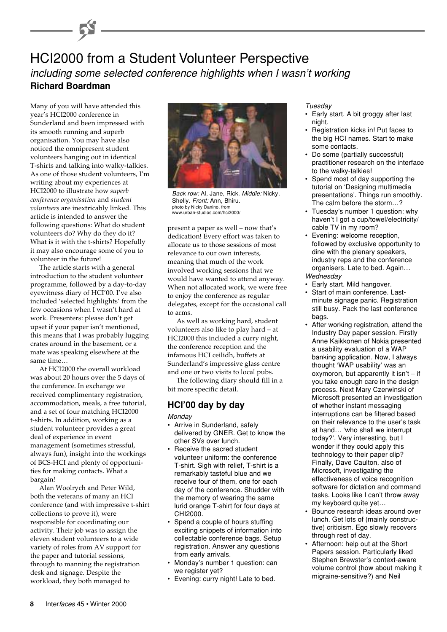## HCI2000 from a Student Volunteer Perspective including some selected conference highlights when I wasn't working **Richard Boardman**

Many of you will have attended this year's HCI2000 conference in Sunderland and been impressed with its smooth running and superb organisation. You may have also noticed the omnipresent student volunteers hanging out in identical T-shirts and talking into walky-talkies. As one of those student volunteers, I'm writing about my experiences at HCI2000 to illustrate how *superb conference organisation* and *student volunteers* are inextricably linked. This article is intended to answer the following questions: What do student volunteers do? Why do they do it? What is it with the t-shirts? Hopefully it may also encourage some of you to volunteer in the future!

The article starts with a general introduction to the student volunteer programme, followed by a day-to-day eyewitness diary of HCI'00. I've also included 'selected highlights' from the few occasions when I wasn't hard at work. Presenters: please don't get upset if your paper isn't mentioned, this means that I was probably lugging crates around in the basement, or a mate was speaking elsewhere at the same time…

At HCI2000 the overall workload was about 20 hours over the 5 days of the conference. In exchange we received complimentary registration, accommodation, meals, a free tutorial, and a set of four matching HCI2000 t-shirts. In addition, working as a student volunteer provides a great deal of experience in event management (sometimes stressful, always fun), insight into the workings of BCS-HCI and plenty of opportunities for making contacts. What a bargain!

Alan Woolrych and Peter Wild, both the veterans of many an HCI conference (and with impressive t-shirt collections to prove it), were responsible for coordinating our activity. Their job was to assign the eleven student volunteers to a wide variety of roles from AV support for the paper and tutorial sessions, through to manning the registration desk and signage. Despite the workload, they both managed to



Back row: Al, Jane, Rick. Middle: Nicky, Shelly. Front: Ann, Bhiru. photo by Nicky Danino, from www.urban-studios.com/hci2000/

present a paper as well – now that's dedication! Every effort was taken to allocate us to those sessions of most relevance to our own interests, meaning that much of the work involved working sessions that we would have wanted to attend anyway. When not allocated work, we were free to enjoy the conference as regular delegates, except for the occasional call to arms.

As well as working hard, student volunteers also like to play hard – at HCI2000 this included a curry night, the conference reception and the infamous HCI ceilidh, buffets at Sunderland's impressive glass centre and one or two visits to local pubs.

The following diary should fill in a bit more specific detail.

### **HCI'00 day by day**

### **Monday**

- Arrive in Sunderland, safely delivered by GNER. Get to know the other SVs over lunch.
- Receive the sacred student volunteer uniform: the conference T-shirt. Sigh with relief, T-shirt is a remarkably tasteful blue and we receive four of them, one for each day of the conference. Shudder with the memory of wearing the same lurid orange T-shirt for four days at CHI2000.
- Spend a couple of hours stuffing exciting snippets of information into collectable conference bags. Setup registration. Answer any questions from early arrivals.
- Monday's number 1 question: can we register yet?
- Evening: curry night! Late to bed.

Tuesday

- Early start. A bit groggy after last night.
- Registration kicks in! Put faces to the big HCI names. Start to make some contacts.
- Do some (partially successful) practitioner research on the interface to the walky-talkies!
- Spend most of day supporting the tutorial on 'Designing multimedia presentations'. Things run smoothly. The calm before the storm…?
- Tuesday's number 1 question: why haven't I got a cup/towel/electricity/ cable TV in my room?
- Evening: welcome reception, followed by exclusive opportunity to dine with the plenary speakers, industry reps and the conference organisers. Late to bed. Again… Wednesday
- Early start. Mild hangover.
- Start of main conference. Lastminute signage panic. Registration still busy. Pack the last conference bags.
- After working registration, attend the Industry Day paper session. Firstly Anne Kaikkonen of Nokia presented a usability evaluation of a WAP banking application. Now, I always thought 'WAP usability' was an oxymoron, but apparently it isn't  $-$  if you take enough care in the design process. Next Mary Czerwinski of Microsoft presented an investigation of whether instant messaging interruptions can be filtered based on their relevance to the user's task at hand… 'who shall we interrupt today?', Very interesting, but I wonder if they could apply this technology to their paper clip? Finally, Dave Caulton, also of Microsoft, investigating the effectiveness of voice recognition software for dictation and command tasks. Looks like I can't throw away my keyboard quite yet…
- Bounce research ideas around over lunch. Get lots of (mainly constructive) criticism. Ego slowly recovers through rest of day.
- Afternoon: help out at the Short Papers session. Particularly liked Stephen Brewster's context-aware volume control (how about making it migraine-sensitive?) and Neil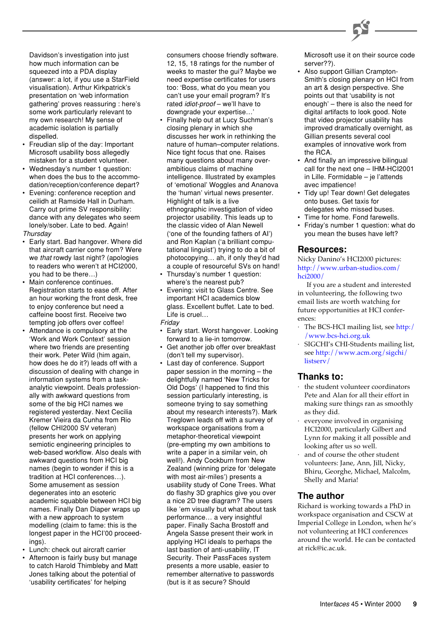

Davidson's investigation into just how much information can be squeezed into a PDA display (answer: a lot, if you use a StarField visualisation). Arthur Kirkpatrick's presentation on 'web information gathering' proves reassuring : here's some work particularly relevant to my own research! My sense of academic isolation is partially dispelled.

- Freudian slip of the day: Important Microsoft usability boss allegedly mistaken for a student volunteer.
- Wednesday's number 1 question: when does the bus to the accommodation/reception/conference depart?
- Evening: conference reception and ceilidh at Ramside Hall in Durham. Carry out prime SV responsibility: dance with any delegates who seem lonely/sober. Late to bed. Again! **Thursday**
- Early start. Bad hangover. Where did that aircraft carrier come from? Were we that rowdy last night? (apologies to readers who weren't at HCI2000, you had to be there…)
- Main conference continues. Registration starts to ease off. After an hour working the front desk, free to enjoy conference but need a caffeine boost first. Receive two tempting job offers over coffee!
- Attendance is compulsory at the 'Work and Work Context' session where two friends are presenting their work. Peter Wild (him again, how does he do it?) leads off with a discussion of dealing with change in information systems from a taskanalytic viewpoint. Deals professionally with awkward questions from some of the big HCI names we registered yesterday. Next Cecilia Kremer Vieira da Cunha from Rio (fellow CHI2000 SV veteran) presents her work on applying semiotic engineering principles to web-based workflow. Also deals with awkward questions from HCI big names (begin to wonder if this is a tradition at HCI conferences…). Some amusement as session degenerates into an esoteric academic squabble between HCI big names. Finally Dan Diaper wraps up with a new approach to system modelling (claim to fame: this is the longest paper in the HCI'00 proceedings).
- Lunch: check out aircraft carrier
- Afternoon is fairly busy but manage to catch Harold Thimbleby and Matt Jones talking about the potential of 'usability certificates' for helping

consumers choose friendly software. 12, 15, 18 ratings for the number of weeks to master the gui? Maybe we need expertise certificates for users too: 'Boss, what do you mean you can't use your email program? It's rated idiot-proof – we'll have to downgrade your expertise…'

- Finally help out at Lucy Suchman's closing plenary in which she discusses her work in rethinking the nature of human–computer relations. Nice tight focus that one. Raises many questions about many overambitious claims of machine intelligence. Illustrated by examples of 'emotional' Woggles and Ananova the 'human' virtual news presenter. Highlight of talk is a live ethnographic investigation of video projector usability. This leads up to the classic video of Alan Newell ('one of the founding fathers of AI') and Ron Kaplan ('a brilliant computational linguist') trying to do a bit of photocopying… ah, if only they'd had a couple of resourceful SVs on hand!
- Thursday's number 1 question: where's the nearest pub?
- Evening: visit to Glass Centre. See important HCI academics blow glass. Excellent buffet. Late to bed. Life is cruel…
- Friday
- Early start. Worst hangover. Looking forward to a lie-in tomorrow.
- Get another job offer over breakfast (don't tell my supervisor).
- Last day of conference. Support paper session in the morning – the delightfully named 'New Tricks for Old Dogs' (I happened to find this session particularly interesting, is someone trying to say something about my research interests?). Mark Treglown leads off with a survey of workspace organisations from a metaphor-theoretical viewpoint (pre-empting my own ambitions to write a paper in a similar vein, oh well!). Andy Cockburn from New Zealand (winning prize for 'delegate with most air-miles') presents a usability study of Cone Trees. What do flashy 3D graphics give you over a nice 2D tree diagram? The users like 'em visually but what about task performance… a very insightful paper. Finally Sacha Brostoff and Angela Sasse present their work in applying HCI ideals to perhaps the last bastion of anti-usability, IT Security. Their PassFaces system presents a more usable, easier to remember alternative to passwords (but is it as secure? Should

Microsoft use it on their source code server??).

- Also support Gillian Crampton-Smith's closing plenary on HCI from an art & design perspective. She points out that 'usability is not enough' – there is also the need for digital artifacts to look good. Note that video projector usability has improved dramatically overnight, as Gillian presents several cool examples of innovative work from the RCA.
- And finally an impressive bilingual call for the next one – IHM-HCI2001 in Lille. Formidable – je l'attends avec impatience!
- Tidy up! Tear down! Get delegates onto buses. Get taxis for delegates who missed buses.
- Time for home. Fond farewells.
- Friday's number 1 question: what do you mean the buses have left?

### **Resources:**

Nicky Danino's HCI2000 pictures: [http://www.urban-studios.com/](http://www.urban-studios.com/hci2000/) hci2000/

If you are a student and interested in volunteering, the following two email lists are worth watching for future opportunities at HCI conferences:

- · [The BCS-HCI mailing list, see http:/](http://www.bcs-hci.org.uk/british-hci-mailing.html) /www.bcs-hci.org.uk
- · SIGCHI's CHI-Students mailing list, [see http://www.acm.org/sigchi/](http://www.acm.org/sigchi/listserv/) listserv/

### **Thanks to:**

- the student volunteer coordinators Pete and Alan for all their effort in making sure things ran as smoothly as they did.
- everyone involved in organising HCI2000, particularly Gilbert and Lynn for making it all possible and looking after us so well.
- and of course the other student volunteers: Jane, Ann, Jill, Nicky, Bhiru, Georghe, Michael, Malcolm, Shelly and Maria!

### **The author**

Richard is working towards a PhD in workspace organisation and CSCW at Imperial College in London, when he's not volunteering at HCI conferences around the world. He can be contacted at rick@ic.ac.uk.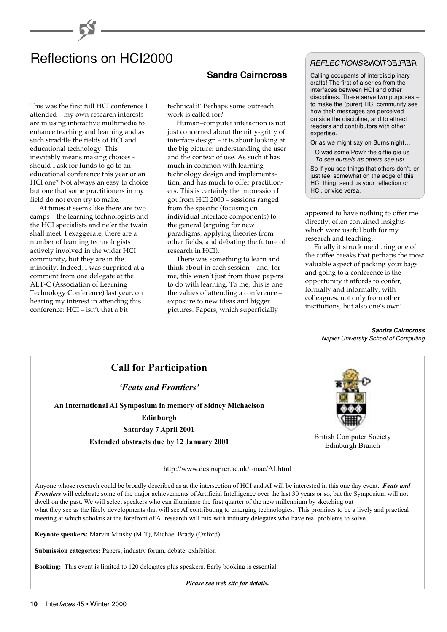# Reflections on HCI2000

This was the first full HCI conference I attended – my own research interests are in using interactive multimedia to enhance teaching and learning and as such straddle the fields of HCI and educational technology. This inevitably means making choices should I ask for funds to go to an educational conference this year or an HCI one? Not always an easy to choice but one that some practitioners in my field do not even try to make.

At times it seems like there are two camps – the learning technologists and the HCI specialists and ne'er the twain shall meet. I exaggerate, there are a number of learning technologists actively involved in the wider HCI community, but they are in the minority. Indeed, I was surprised at a comment from one delegate at the ALT-C (Association of Learning Technology Conference) last year, on hearing my interest in attending this conference: HCI – isn't that a bit

**Sandra Cairncross**

technical?!' Perhaps some outreach work is called for?

Human–computer interaction is not just concerned about the nitty-gritty of interface design – it is about looking at the big picture: understanding the user and the context of use. As such it has much in common with learning technology design and implementation, and has much to offer practitioners. This is certainly the impression I got from HCI 2000 – sessions ranged from the specific (focusing on individual interface components) to the general (arguing for new paradigms, applying theories from other fields, and debating the future of research in HCI).

There was something to learn and think about in each session – and, for me, this wasn't just from those papers to do with learning. To me, this is one the values of attending a conference – exposure to new ideas and bigger pictures. Papers, which superficially

### REFLECTIONS REFLECTIONS

Calling occupants of interdisciplinary crafts! The first of a series from the interfaces between HCI and other disciplines. These serve two purposes – to make the (purer) HCI community see how their messages are perceived outside the discipline, and to attract readers and contributors with other expertise.

Or as we might say on Burns night…

O wad some Pow'r the giftie gie us To see oursels as others see us!

So if you see things that others don't, or just feel somewhat on the edge of this HCI thing, send us your reflection on HCI, or vice versa.

appeared to have nothing to offer me directly, often contained insights which were useful both for my research and teaching.

Finally it struck me during one of the coffee breaks that perhaps the most valuable aspect of packing your bags and going to a conference is the opportunity it affords to confer, formally and informally, with colleagues, not only from other institutions, but also one's own!

#### **Sandra Cairncross** Napier University School of Computing

### **Call for Participation**

### *'Feats and Frontiers'*

**An International AI Symposium in memory of Sidney Michaelson**

**Edinburgh**

**Saturday 7 April 2001**

**Extended abstracts due by 12 January 2001** British Computer Society



Edinburgh Branch

http://www.dcs.napier.ac.uk/~mac/AI.html

Anyone whose research could be broadly described as at the intersection of HCI and AI will be interested in this one day event. *Feats and Frontiers* will celebrate some of the major achievements of Artificial Intelligence over the last 30 years or so, but the Symposium will not dwell on the past. We will select speakers who can illuminate the first quarter of the new millennium by sketching out what they see as the likely developments that will see AI contributing to emerging technologies. This promises to be a lively and practical meeting at which scholars at the forefront of AI research will mix with industry delegates who have real problems to solve.

**Keynote speakers:** Marvin Minsky (MIT), Michael Brady (Oxford)

**Submission categories:** Papers, industry forum, debate, exhibition

**Booking:** This event is limited to 120 delegates plus speakers. Early booking is essential.

*Please see web site for details.*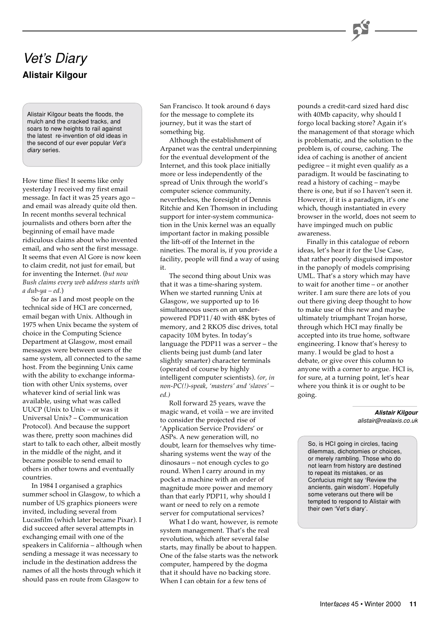# Vet's Diary **Alistair Kilgour**

Alistair Kilgour beats the floods, the mulch and the cracked tracks, and soars to new heights to rail against the latest re-invention of old ideas in the second of our ever popular Vet's diary series.

How time flies! It seems like only yesterday I received my first email message. In fact it was 25 years ago – and email was already quite old then. In recent months several technical journalists and others born after the beginning of email have made ridiculous claims about who invented email, and who sent the first message. It seems that even Al Gore is now keen to claim credit, not just for email, but for inventing the Internet. (*but now Bush claims every web address starts with a dub-ya – ed.*)

So far as I and most people on the technical side of HCI are concerned, email began with Unix. Although in 1975 when Unix became the system of choice in the Computing Science Department at Glasgow, most email messages were between users of the same system, all connected to the same host. From the beginning Unix came with the ability to exchange information with other Unix systems, over whatever kind of serial link was available, using what was called UUCP (Unix to Unix – or was it Universal Unix? – Communication Protocol). And because the support was there, pretty soon machines did start to talk to each other, albeit mostly in the middle of the night, and it became possible to send email to others in other towns and eventually countries.

In 1984 I organised a graphics summer school in Glasgow, to which a number of US graphics pioneers were invited, including several from Lucasfilm (which later became Pixar). I did succeed after several attempts in exchanging email with one of the speakers in California – although when sending a message it was necessary to include in the destination address the names of all the hosts through which it should pass en route from Glasgow to

San Francisco. It took around 6 days for the message to complete its journey, but it was the start of something big.

Although the establishment of Arpanet was the central underpinning for the eventual development of the Internet, and this took place initially more or less independently of the spread of Unix through the world's computer science community, nevertheless, the foresight of Dennis Ritchie and Ken Thomson in including support for inter-system communication in the Unix kernel was an equally important factor in making possible the lift-off of the Internet in the nineties. The moral is, if you provide a facility, people will find a way of using it.

The second thing about Unix was that it was a time-sharing system. When we started running Unix at Glasgow, we supported up to 16 simultaneous users on an underpowered PDP11/40 with 48K bytes of memory, and 2 RKO5 disc drives, total capacity 10M bytes. In today's language the PDP11 was a server – the clients being just dumb (and later slightly smarter) character terminals (operated of course by highly intelligent computer scientists). *(or, in non-PC(!)-speak, 'masters' and 'slaves' – ed.)*

Roll forward 25 years, wave the magic wand, et voilà – we are invited to consider the projected rise of 'Application Service Providers' or ASPs. A new generation will, no doubt, learn for themselves why timesharing systems went the way of the dinosaurs – not enough cycles to go round. When I carry around in my pocket a machine with an order of magnitude more power and memory than that early PDP11, why should I want or need to rely on a remote server for computational services?

What I do want, however, is remote system management. That's the real revolution, which after several false starts, may finally be about to happen. One of the false starts was the network computer, hampered by the dogma that it should have no backing store. When I can obtain for a few tens of

pounds a credit-card sized hard disc with 40Mb capacity, why should I forgo local backing store? Again it's the management of that storage which is problematic, and the solution to the problem is, of course, caching. The idea of caching is another of ancient pedigree – it might even qualify as a paradigm. It would be fascinating to read a history of caching – maybe there is one, but if so I haven't seen it. However, if it is a paradigm, it's one which, though instantiated in every browser in the world, does not seem to have impinged much on public awareness.

Finally in this catalogue of reborn ideas, let's hear it for the Use Case, that rather poorly disguised impostor in the panoply of models comprising UML. That's a story which may have to wait for another time – or another writer. I am sure there are lots of you out there giving deep thought to how to make use of this new and maybe ultimately triumphant Trojan horse, through which HCI may finally be accepted into its true home, software engineering. I know that's heresy to many. I would be glad to host a debate, or give over this column to anyone with a corner to argue. HCI is, for sure, at a turning point, let's hear where you think it is or ought to be going.

#### **Alistair Kilgour** alistair@realaxis.co.uk

So, is HCI going in circles, facing dilemmas, dichotomies or choices, or merely rambling. Those who do not learn from history are destined to repeat its mistakes, or as Confucius might say 'Review the ancients, gain wisdom'. Hopefully some veterans out there will be tempted to respond to Alistair with their own 'Vet's diary'.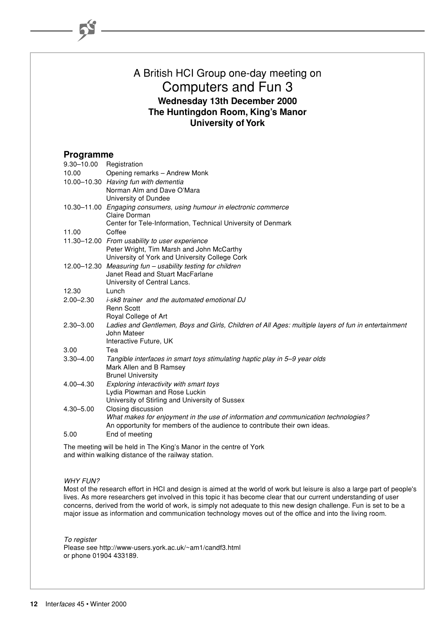### A British HCI Group one-day meeting on Computers and Fun 3 **Wednesday 13th December 2000 The Huntingdon Room, King's Manor University of York**

### **Programme**

| $9.30 - 10.00$ | Registration                                                                                        |
|----------------|-----------------------------------------------------------------------------------------------------|
| 10.00          | Opening remarks - Andrew Monk                                                                       |
|                | 10.00-10.30 Having fun with dementia                                                                |
|                | Norman Alm and Dave O'Mara                                                                          |
|                | University of Dundee                                                                                |
|                | 10.30–11.00 Engaging consumers, using humour in electronic commerce<br>Claire Dorman                |
|                | Center for Tele-Information, Technical University of Denmark                                        |
| 11.00          | Coffee                                                                                              |
|                | 11.30-12.00 From usability to user experience                                                       |
|                | Peter Wright, Tim Marsh and John McCarthy                                                           |
|                | University of York and University College Cork                                                      |
|                | 12.00-12.30 Measuring fun - usability testing for children                                          |
|                | Janet Read and Stuart MacFarlane                                                                    |
|                | University of Central Lancs.                                                                        |
| 12.30          | Lunch                                                                                               |
| $2.00 - 2.30$  | <i>i-sk8 trainer and the automated emotional DJ</i><br><b>Renn Scott</b>                            |
|                | Royal College of Art                                                                                |
| $2.30 - 3.00$  | Ladies and Gentlemen, Boys and Girls, Children of All Ages: multiple layers of fun in entertainment |
|                | John Mateer                                                                                         |
|                | Interactive Future, UK                                                                              |
| 3.00           | Tea                                                                                                 |
| $3.30 - 4.00$  | Tangible interfaces in smart toys stimulating haptic play in 5-9 year olds                          |
|                | Mark Allen and B Ramsey                                                                             |
|                | <b>Brunel University</b>                                                                            |
| 4.00-4.30      | Exploring interactivity with smart toys                                                             |
|                | Lydia Plowman and Rose Luckin<br>University of Stirling and University of Sussex                    |
| 4.30-5.00      | Closing discussion                                                                                  |
|                | What makes for enjoyment in the use of information and communication technologies?                  |
|                | An opportunity for members of the audience to contribute their own ideas.                           |
| 5.00           | End of meeting                                                                                      |
|                |                                                                                                     |

The meeting will be held in The King's Manor in the centre of York and within walking distance of the railway station.

#### WHY FUN?

Most of the research effort in HCI and design is aimed at the world of work but leisure is also a large part of people's lives. As more researchers get involved in this topic it has become clear that our current understanding of user concerns, derived from the world of work, is simply not adequate to this new design challenge. Fun is set to be a major issue as information and communication technology moves out of the office and into the living room.

To register Please see http://www-users.york.ac.uk/~am1/candf3.html or phone 01904 433189.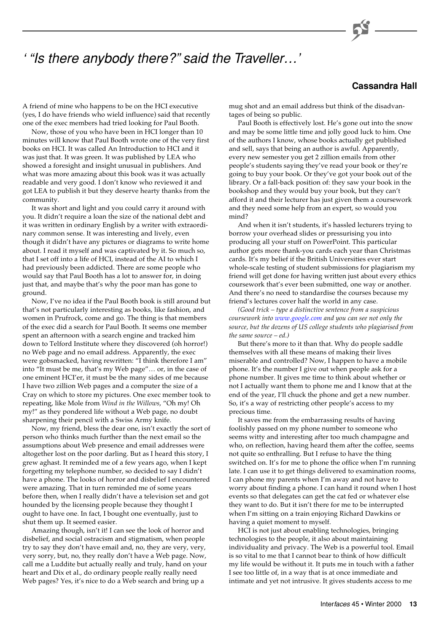# ' "Is there anybody there?" said the Traveller…'

### **Cassandra Hall**

A friend of mine who happens to be on the HCI executive (yes, I do have friends who wield influence) said that recently one of the exec members had tried looking for Paul Booth.

Now, those of you who have been in HCI longer than 10 minutes will know that Paul Booth wrote one of the very first books on HCI. It was called An Introduction to HCI and it was just that. It was green. It was published by LEA who showed a foresight and insight unusual in publishers. And what was more amazing about this book was it was actually readable and very good. I don't know who reviewed it and got LEA to publish it but they deserve hearty thanks from the community.

It was short and light and you could carry it around with you. It didn't require a loan the size of the national debt and it was written in ordinary English by a writer with extraordinary common sense. It was interesting and lively, even though it didn't have any pictures or diagrams to write home about. I read it myself and was captivated by it. So much so, that I set off into a life of HCI, instead of the AI to which I had previously been addicted. There are some people who would say that Paul Booth has a lot to answer for, in doing just that, and maybe that's why the poor man has gone to ground.

Now, I've no idea if the Paul Booth book is still around but that's not particularly interesting as books, like fashion, and women in Prufrock, come and go. The thing is that members of the exec did a search for Paul Booth. It seems one member spent an afternoon with a search engine and tracked him down to Telford Institute where they discovered (oh horror!) no Web page and no email address. Apparently, the exec were gobsmacked, having rewritten: "I think therefore I am" into "It must be me, that's my Web page"… or, in the case of one eminent HCI'er, it must be the many sides of me because I have two zillion Web pages and a computer the size of a Cray on which to store my pictures. One exec member took to repeating, like Mole from *Wind in the Willows*, "Oh my! Oh my!" as they pondered life without a Web page, no doubt sharpening their pencil with a Swiss Army knife.

Now, my friend, bless the dear one, isn't exactly the sort of person who thinks much further than the next email so the assumptions about Web presence and email addresses were altogether lost on the poor darling. But as I heard this story, I grew aghast. It reminded me of a few years ago, when I kept forgetting my telephone number, so decided to say I didn't have a phone. The looks of horror and disbelief I encountered were amazing. That in turn reminded me of some years before then, when I really didn't have a television set and got hounded by the licensing people because they thought I ought to have one. In fact, I bought one eventually, just to shut them up. It seemed easier.

Amazing though, isn't it! I can see the look of horror and disbelief, and social ostracism and stigmatism, when people try to say they don't have email and, no, they are very, very, very sorry, but, no, they really don't have a Web page. Now, call me a Luddite but actually really and truly, hand on your heart and Dix et al., do ordinary people really really need Web pages? Yes, it's nice to do a Web search and bring up a

mug shot and an email address but think of the disadvantages of being so public.

Paul Booth is effectively lost. He's gone out into the snow and may be some little time and jolly good luck to him. One of the authors I know, whose books actually get published and sell, says that being an author is awful. Apparently, every new semester you get 2 zillion emails from other people's students saying they've read your book or they're going to buy your book. Or they've got your book out of the library. Or a fall-back position of: they saw your book in the bookshop and they would buy your book, but they can't afford it and their lecturer has just given them a coursework and they need some help from an expert, so would you mind?

And when it isn't students, it's hassled lecturers trying to borrow your overhead slides or pressurising you into producing all your stuff on PowerPoint. This particular author gets more thank-you cards each year than Christmas cards. It's my belief if the British Universities ever start whole-scale testing of student submissions for plagiarism my friend will get done for having written just about every ethics coursework that's ever been submitted, one way or another. And there's no need to standardise the courses because my friend's lectures cover half the world in any case.

*(Good trick – type a distinctive sentence from a suspicious coursework into [www.google.com](http://www.google.com/) and you can see not only the source, but the dozens of US college students who plagiarised from the same source – ed.)*

But there's more to it than that. Why do people saddle themselves with all these means of making their lives miserable and controlled? Now, I happen to have a mobile phone. It's the number I give out when people ask for a phone number. It gives me time to think about whether or not I actually want them to phone me and I know that at the end of the year, I'll chuck the phone and get a new number. So, it's a way of restricting other people's access to my precious time.

It saves me from the embarrassing results of having foolishly passed on my phone number to someone who seems witty and interesting after too much champagne and who, on reflection, having heard them after the coffee, seems not quite so enthralling. But I refuse to have the thing switched on. It's for me to phone the office when I'm running late. I can use it to get things delivered to examination rooms, I can phone my parents when I'm away and not have to worry about finding a phone. I can hand it round when I host events so that delegates can get the cat fed or whatever else they want to do. But it isn't there for me to be interrupted when I'm sitting on a train enjoying Richard Dawkins or having a quiet moment to myself.

HCI is not just about enabling technologies, bringing technologies to the people, it also about maintaining individuality and privacy. The Web is a powerful tool. Email is so vital to me that I cannot bear to think of how difficult my life would be without it. It puts me in touch with a father I see too little of, in a way that is at once immediate and intimate and yet not intrusive. It gives students access to me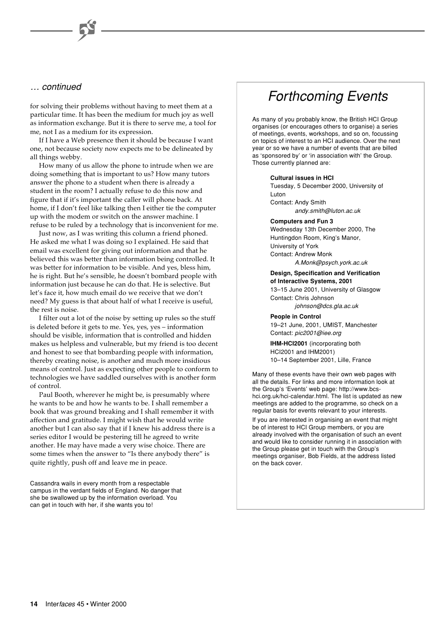### … continued

for solving their problems without having to meet them at a particular time. It has been the medium for much joy as well as information exchange. But it is there to serve me, a tool for me, not I as a medium for its expression.

If I have a Web presence then it should be because I want one, not because society now expects me to be delineated by all things webby.

How many of us allow the phone to intrude when we are doing something that is important to us? How many tutors answer the phone to a student when there is already a student in the room? I actually refuse to do this now and figure that if it's important the caller will phone back. At home, if I don't feel like talking then I either tie the computer up with the modem or switch on the answer machine. I refuse to be ruled by a technology that is inconvenient for me.

Just now, as I was writing this column a friend phoned. He asked me what I was doing so I explained. He said that email was excellent for giving out information and that he believed this was better than information being controlled. It was better for information to be visible. And yes, bless him, he is right. But he's sensible, he doesn't bombard people with information just because he can do that. He is selective. But let's face it, how much email do we receive that we don't need? My guess is that about half of what I receive is useful, the rest is noise.

I filter out a lot of the noise by setting up rules so the stuff is deleted before it gets to me. Yes, yes, yes – information should be visible, information that is controlled and hidden makes us helpless and vulnerable, but my friend is too decent and honest to see that bombarding people with information, thereby creating noise, is another and much more insidious means of control. Just as expecting other people to conform to technologies we have saddled ourselves with is another form of control.

Paul Booth, wherever he might be, is presumably where he wants to be and how he wants to be. I shall remember a book that was ground breaking and I shall remember it with affection and gratitude. I might wish that he would write another but I can also say that if I knew his address there is a series editor I would be pestering till he agreed to write another. He may have made a very wise choice. There are some times when the answer to "Is there anybody there" is quite rightly, push off and leave me in peace.

Cassandra wails in every month from a respectable campus in the verdant fields of England. No danger that she be swallowed up by the information overload. You can get in touch with her, if she wants you to!

# Forthcoming Events

As many of you probably know, the British HCI Group organises (or encourages others to organise) a series of meetings, events, workshops, and so on, focussing on topics of interest to an HCI audience. Over the next year or so we have a number of events that are billed as 'sponsored by' or 'in association with' the Group. Those currently planned are:

#### **Cultural issues in HCI**

Tuesday, 5 December 2000, University of Luton

Contact: Andy Smith andy.smith@luton.ac.uk

#### **Computers and Fun 3**

Wednesday 13th December 2000, The Huntingdon Room, King's Manor, University of York Contact: Andrew Monk A.Monk@psych.york.ac.uk

**Design, Specification and Verification of Interactive Systems, 2001** 13–15 June 2001, University of Glasgow Contact: Chris Johnson

johnson@dcs.gla.ac.uk

**People in Control** 19–21 June, 2001, UMIST, Manchester Contact: pic2001@iee.org

**IHM-HCI2001** (incorporating both HCI2001 and IHM2001) 10–14 September 2001, Lille, France

Many of these events have their own web pages with all the details. For links and more information look at the Group's 'Events' web page: http://www.bcshci.org.uk/hci-calendar.html. The list is updated as new meetings are added to the programme, so check on a regular basis for events relevant to your interests.

If you are interested in organising an event that might be of interest to HCI Group members, or you are already involved with the organisation of such an event and would like to consider running it in association with the Group please get in touch with the Group's meetings organiser, Bob Fields, at the address listed on the back cover.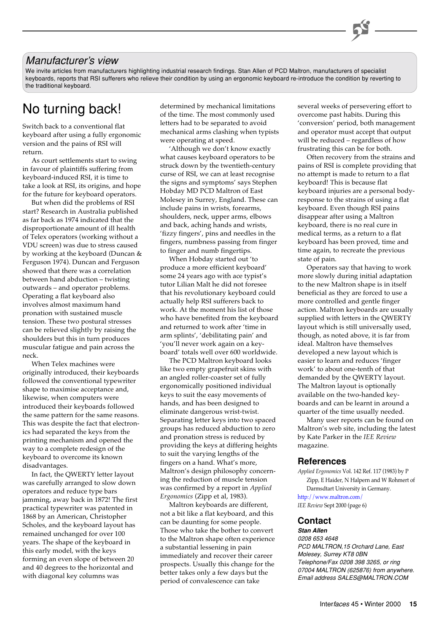### Manufacturer's view

We invite articles from manufacturers highlighting industrial research findings. Stan Allen of PCD Maltron, manufacturers of specialist keyboards, reports that RSI sufferers who relieve their condition by using an ergonomic keyboard re-introduce the condition by reverting to the traditional keyboard.

Switch back to a conventional flat keyboard after using a fully ergonomic version and the pains of RSI will return.

As court settlements start to swing in favour of plaintiffs suffering from keyboard-induced RSI, it is time to take a look at RSI, its origins, and hope for the future for keyboard operators.

But when did the problems of RSI start? Research in Australia published as far back as 1974 indicated that the disproportionate amount of ill health of Telex operators (working without a VDU screen) was due to stress caused by working at the keyboard (Duncan & Ferguson 1974). Duncan and Ferguson showed that there was a correlation between hand abduction – twisting outwards – and operator problems. Operating a flat keyboard also involves almost maximum hand pronation with sustained muscle tension. These two postural stresses can be relieved slightly by raising the shoulders but this in turn produces muscular fatigue and pain across the neck.

When Telex machines were originally introduced, their keyboards followed the conventional typewriter shape to maximise acceptance and, likewise, when computers were introduced their keyboards followed the same pattern for the same reasons. This was despite the fact that electronics had separated the keys from the printing mechanism and opened the way to a complete redesign of the keyboard to overcome its known disadvantages.

In fact, the QWERTY letter layout was carefully arranged to slow down operators and reduce type bars jamming, away back in 1872! The first practical typewriter was patented in 1868 by an American, Christopher Scholes, and the keyboard layout has remained unchanged for over 100 years. The shape of the keyboard in this early model, with the keys forming an even slope of between 20 and 40 degrees to the horizontal and with diagonal key columns was

No turning back! determined by mechanical limitations of the time. The most commonly used letters had to be separated to avoid mechanical arms clashing when typists were operating at speed.

> 'Although we don't know exactly what causes keyboard operators to be struck down by the twentieth-century curse of RSI, we can at least recognise the signs and symptoms' says Stephen Hobday MD PCD Maltron of East Molesey in Surrey, England. These can include pains in wrists, forearms, shoulders, neck, upper arms, elbows and back, aching hands and wrists, 'fizzy fingers', pins and needles in the fingers, numbness passing from finger to finger and numb fingertips.

> When Hobday started out 'to produce a more efficient keyboard' some 24 years ago with ace typist's tutor Lilian Malt he did not foresee that his revolutionary keyboard could actually help RSI sufferers back to work. At the moment his list of those who have benefited from the keyboard and returned to work after 'time in arm splints', 'debilitating pain' and 'you'll never work again on a keyboard' totals well over 600 worldwide.

The PCD Maltron keyboard looks like two empty grapefruit skins with an angled roller-coaster set of fully ergonomically positioned individual keys to suit the easy movements of hands, and has been designed to eliminate dangerous wrist-twist. Separating letter keys into two spaced groups has reduced abduction to zero and pronation stress is reduced by providing the keys at differing heights to suit the varying lengths of the fingers on a hand. What's more, Maltron's design philosophy concerning the reduction of muscle tension was confirmed by a report in *Applied Ergonomics* (Zipp et al, 1983).

Maltron keyboards are different, not a bit like a flat keyboard, and this can be daunting for some people. Those who take the bother to convert to the Maltron shape often experience a substantial lessening in pain immediately and recover their career prospects. Usually this change for the better takes only a few days but the period of convalescence can take

several weeks of persevering effort to overcome past habits. During this 'conversion' period, both management and operator must accept that output will be reduced – regardless of how frustrating this can be for both.

Often recovery from the strains and pains of RSI is complete providing that no attempt is made to return to a flat keyboard! This is because flat keyboard injuries are a personal bodyresponse to the strains of using a flat keyboard. Even though RSI pains disappear after using a Maltron keyboard, there is no real cure in medical terms, as a return to a flat keyboard has been proved, time and time again, to recreate the previous state of pain.

Operators say that having to work more slowly during initial adaptation to the new Maltron shape is in itself beneficial as they are forced to use a more controlled and gentle finger action. Maltron keyboards are usually supplied with letters in the QWERTY layout which is still universally used, though, as noted above, it is far from ideal. Maltron have themselves developed a new layout which is easier to learn and reduces 'finger work' to about one-tenth of that demanded by the QWERTY layout. The Maltron layout is optionally available on the two-handed keyboards and can be learnt in around a quarter of the time usually needed.

Many user reports can be found on Maltron's web site, including the latest by Kate Parker in the *IEE Review* magazine.

#### **References**

*Applied Ergonomics* Vol. 142 Ref. 117 (1983) by P Zipp, E Haider, N Halpern and W Rohmert of Darmsdtart University in Germany. <http://www.maltron.com/> *IEE Review* Sept 2000 (page 6)

### **Contact**

**Stan Allen** 0208 653 4648 PCD MALTRON,15 Orchard Lane, East Molesey, Surrey KT8 0BN Telephone/Fax 0208 398 3265, or ring 07004 MALTRON (625876) from anywhere. Email address SALES@MALTRON.COM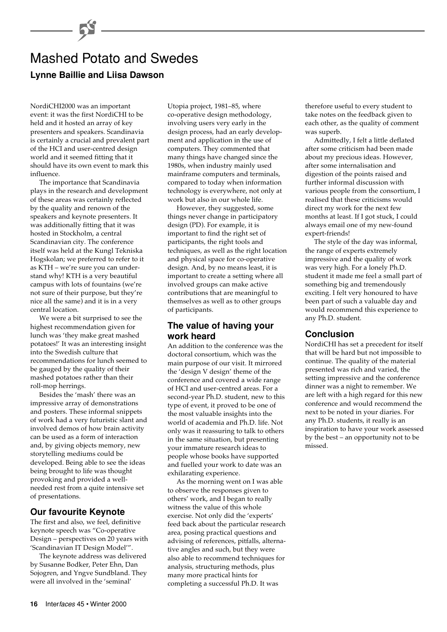# Mashed Potato and Swedes **Lynne Baillie and Liisa Dawson**

NordiCHI2000 was an important event: it was the first NordiCHI to be held and it hosted an array of key presenters and speakers. Scandinavia is certainly a crucial and prevalent part of the HCI and user-centred design world and it seemed fitting that it should have its own event to mark this influence.

The importance that Scandinavia plays in the research and development of these areas was certainly reflected by the quality and renown of the speakers and keynote presenters. It was additionally fitting that it was hosted in Stockholm, a central Scandinavian city. The conference itself was held at the Kungl Tekniska Hogskolan; we preferred to refer to it as KTH – we're sure you can understand why! KTH is a very beautiful campus with lots of fountains (we're not sure of their purpose, but they're nice all the same) and it is in a very central location.

We were a bit surprised to see the highest recommendation given for lunch was 'they make great mashed potatoes!' It was an interesting insight into the Swedish culture that recommendations for lunch seemed to be gauged by the quality of their mashed potatoes rather than their roll-mop herrings.

Besides the 'mash' there was an impressive array of demonstrations and posters. These informal snippets of work had a very futuristic slant and involved demos of how brain activity can be used as a form of interaction and, by giving objects memory, new storytelling mediums could be developed. Being able to see the ideas being brought to life was thought provoking and provided a wellneeded rest from a quite intensive set of presentations.

### **Our favourite Keynote**

The first and also, we feel, definitive keynote speech was "Co-operative Design – perspectives on 20 years with 'Scandinavian IT Design Model'".

The keynote address was delivered by Susanne Bodker, Peter Ehn, Dan Sojogren, and Yngve Sundbland. They were all involved in the 'seminal'

Utopia project, 1981–85, where co-operative design methodology, involving users very early in the design process, had an early development and application in the use of computers. They commented that many things have changed since the 1980s, when industry mainly used mainframe computers and terminals, compared to today when information technology is everywhere, not only at work but also in our whole life.

However, they suggested, some things never change in participatory design (PD). For example, it is important to find the right set of participants, the right tools and techniques, as well as the right location and physical space for co-operative design. And, by no means least, it is important to create a setting where all involved groups can make active contributions that are meaningful to themselves as well as to other groups of participants.

### **The value of having your work heard**

An addition to the conference was the doctoral consortium, which was the main purpose of our visit. It mirrored the 'design V design' theme of the conference and covered a wide range of HCI and user-centred areas. For a second-year Ph.D. student, new to this type of event, it proved to be one of the most valuable insights into the world of academia and Ph.D. life. Not only was it reassuring to talk to others in the same situation, but presenting your immature research ideas to people whose books have supported and fuelled your work to date was an exhilarating experience.

As the morning went on I was able to observe the responses given to others' work, and I began to really witness the value of this whole exercise. Not only did the 'experts' feed back about the particular research area, posing practical questions and advising of references, pitfalls, alternative angles and such, but they were also able to recommend techniques for analysis, structuring methods, plus many more practical hints for completing a successful Ph.D. It was

therefore useful to every student to take notes on the feedback given to each other, as the quality of comment was superb.

Admittedly, I felt a little deflated after some criticism had been made about my precious ideas. However, after some internalisation and digestion of the points raised and further informal discussion with various people from the consortium, I realised that these criticisms would direct my work for the next few months at least. If I got stuck, I could always email one of my new-found expert-friends!

The style of the day was informal, the range of experts extremely impressive and the quality of work was very high. For a lonely Ph.D. student it made me feel a small part of something big and tremendously exciting. I felt very honoured to have been part of such a valuable day and would recommend this experience to any Ph.D. student.

### **Conclusion**

NordiCHI has set a precedent for itself that will be hard but not impossible to continue. The quality of the material presented was rich and varied, the setting impressive and the conference dinner was a night to remember. We are left with a high regard for this new conference and would recommend the next to be noted in your diaries. For any Ph.D. students, it really is an inspiration to have your work assessed by the best – an opportunity not to be missed.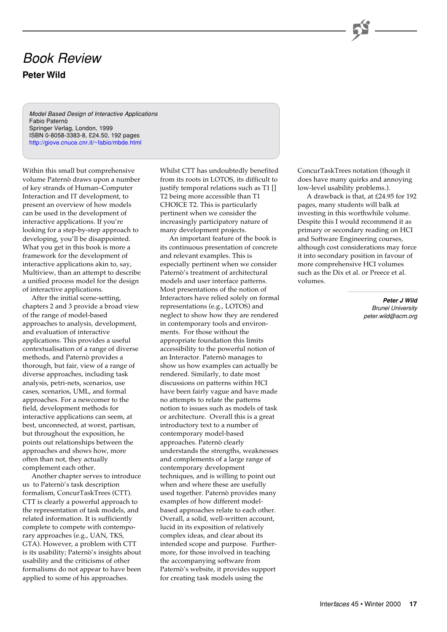# Book Review **Peter Wild**

Model Based Design of Interactive Applications Fabio Paternò Springer Verlag, London, 1999 ISBN 0-8058-3383-8, £24.50, 192 pages <http://giove.cnuce.cnr.it/~fabio/mbde.html>

Within this small but comprehensive volume Paternò draws upon a number of key strands of Human–Computer Interaction and IT development, to present an overview of how models can be used in the development of interactive applications. If you're looking for a step-by-step approach to developing, you'll be disappointed. What you get in this book is more a framework for the development of interactive applications akin to, say, Multiview, than an attempt to describe a unified process model for the design of interactive applications.

After the initial scene-setting, chapters 2 and 3 provide a broad view of the range of model-based approaches to analysis, development, and evaluation of interactive applications. This provides a useful contextualisation of a range of diverse methods, and Paternò provides a thorough, but fair, view of a range of diverse approaches, including task analysis, petri-nets, scenarios, use cases, scenarios, UML, and formal approaches. For a newcomer to the field, development methods for interactive applications can seem, at best, unconnected, at worst, partisan, but throughout the exposition, he points out relationships between the approaches and shows how, more often than not, they actually complement each other.

Another chapter serves to introduce us to Paternò's task description formalism, ConcurTaskTrees (CTT). CTT is clearly a powerful approach to the representation of task models, and related information. It is sufficiently complete to compete with contemporary approaches (e.g., UAN, TKS, GTA). However, a problem with CTT is its usability; Paternò's insights about usability and the criticisms of other formalisms do not appear to have been applied to some of his approaches.

Whilst CTT has undoubtedly benefited from its roots in LOTOS, its difficult to justify temporal relations such as T1 [] T2 being more accessible than T1 CHOICE T2. This is particularly pertinent when we consider the increasingly participatory nature of many development projects.

An important feature of the book is its continuous presentation of concrete and relevant examples. This is especially pertinent when we consider Paternò's treatment of architectural models and user interface patterns. Most presentations of the notion of Interactors have relied solely on formal representations (e.g., LOTOS) and neglect to show how they are rendered in contemporary tools and environments. For those without the appropriate foundation this limits accessibility to the powerful notion of an Interactor. Paternò manages to show us how examples can actually be rendered. Similarly, to date most discussions on patterns within HCI have been fairly vague and have made no attempts to relate the patterns notion to issues such as models of task or architecture. Overall this is a great introductory text to a number of contemporary model-based approaches. Paternò clearly understands the strengths, weaknesses and complements of a large range of contemporary development techniques, and is willing to point out when and where these are usefully used together. Paternò provides many examples of how different modelbased approaches relate to each other. Overall, a solid, well-written account, lucid in its exposition of relatively complex ideas, and clear about its intended scope and purpose. Furthermore, for those involved in teaching the accompanying software from Paternò's website, it provides support for creating task models using the

ConcurTaskTrees notation (though it does have many quirks and annoying low-level usability problems.).

A drawback is that, at £24.95 for 192 pages, many students will balk at investing in this worthwhile volume. Despite this I would recommend it as primary or secondary reading on HCI and Software Engineering courses, although cost considerations may force it into secondary position in favour of more comprehensive HCI volumes such as the Dix et al. or Preece et al. volumes.

> **Peter J Wild** Brunel University peter.wild@acm.org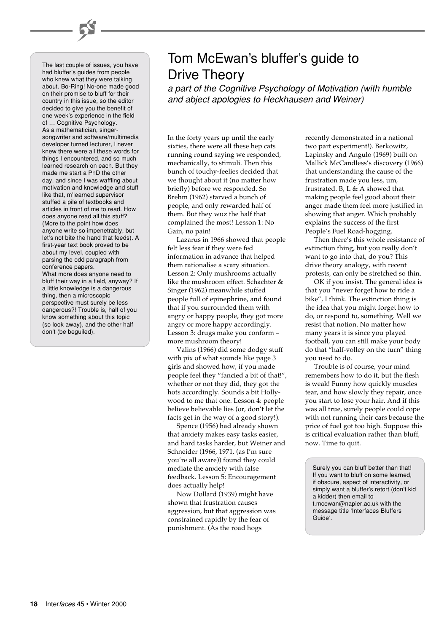The last couple of issues, you have had bluffer's guides from people who knew what they were talking about. Bo-Ring! No-one made good on their promise to bluff for their country in this issue, so the editor decided to give you the benefit of one week's experience in the field of … Cognitive Psychology. As a mathematician, singersongwriter and software/multimedia developer turned lecturer, I never knew there were all these words for things I encountered, and so much learned research on each. But they made me start a PhD the other day, and since I was waffling about motivation and knowledge and stuff like that, m'learned supervisor stuffed a pile of textbooks and articles in front of me to read. How does anyone read all this stuff? (More to the point how does anyone write so impenetrably, but let's not bite the hand that feeds). A first-year text book proved to be about my level, coupled with parsing the odd paragraph from conference papers. What more does anyone need to bluff their way in a field, anyway? If a little knowledge is a dangerous thing, then a microscopic perspective must surely be less dangerous?! Trouble is, half of you know something about this topic (so look away), and the other half

don't (be beguiled).

# Tom McEwan's bluffer's guide to Drive Theory

a part of the Cognitive Psychology of Motivation (with humble and abject apologies to Heckhausen and Weiner)

In the forty years up until the early sixties, there were all these hep cats running round saying we responded, mechanically, to stimuli. Then this bunch of touchy-feelies decided that we thought about it (no matter how briefly) before we responded. So Brehm (1962) starved a bunch of people, and only rewarded half of them. But they wuz the half that complained the most! Lesson 1: No Gain, no pain!

Lazarus in 1966 showed that people felt less fear if they were fed information in advance that helped them rationalise a scary situation. Lesson 2: Only mushrooms actually like the mushroom effect. Schachter & Singer (1962) meanwhile stuffed people full of epinephrine, and found that if you surrounded them with angry or happy people, they got more angry or more happy accordingly. Lesson 3: drugs make you conform – more mushroom theory!

Valins (1966) did some dodgy stuff with pix of what sounds like page 3 girls and showed how, if you made people feel they "fancied a bit of that!", whether or not they did, they got the hots accordingly. Sounds a bit Hollywood to me that one. Lesson 4: people believe believable lies (or, don't let the facts get in the way of a good story!).

Spence (1956) had already shown that anxiety makes easy tasks easier, and hard tasks harder, but Weiner and Schneider (1966, 1971, (as I'm sure you're all aware)) found they could mediate the anxiety with false feedback. Lesson 5: Encouragement does actually help!

Now Dollard (1939) might have shown that frustration causes aggression, but that aggression was constrained rapidly by the fear of punishment. (As the road hogs

recently demonstrated in a national two part experiment!). Berkowitz, Lapinsky and Angulo (1969) built on Mallick McCandless's discovery (1966) that understanding the cause of the frustration made you less, um, frustrated. B, L & A showed that making people feel good about their anger made them feel more justified in showing that anger. Which probably explains the success of the first People's Fuel Road-hogging.

Then there's this whole resistance of extinction thing, but you really don't want to go into that, do you? This drive theory analogy, with recent protests, can only be stretched so thin.

OK if you insist. The general idea is that you "never forget how to ride a bike", I think. The extinction thing is the idea that you might forget how to do, or respond to, something. Well we resist that notion. No matter how many years it is since you played football, you can still make your body do that "half-volley on the turn" thing you used to do.

Trouble is of course, your mind remembers how to do it, but the flesh is weak! Funny how quickly muscles tear, and how slowly they repair, once you start to lose your hair. And if this was all true, surely people could cope with not running their cars because the price of fuel got too high. Suppose this is critical evaluation rather than bluff, now. Time to quit.

Surely you can bluff better than that! If you want to bluff on some learned, if obscure, aspect of interactivity, or simply want a bluffer's retort (don't kid a kidder) then email to t.mcewan@napier.ac.uk with the message title 'Interfaces Bluffers Guide'.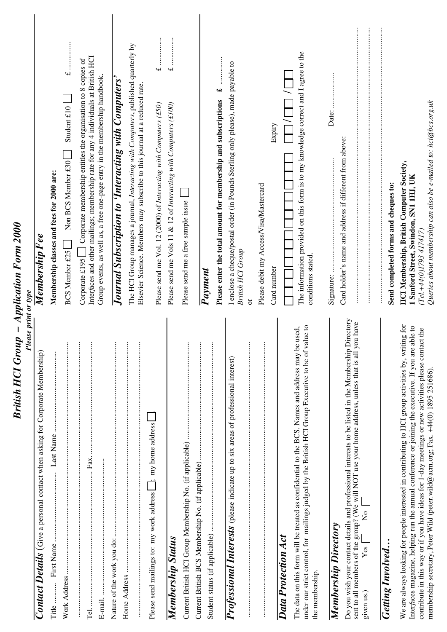| British HCI Group – Application Form 2000<br>Please print or type                                                                                                                                                                                                                                                                                                                                       |                                                                                                                                                                                                                                                       |
|---------------------------------------------------------------------------------------------------------------------------------------------------------------------------------------------------------------------------------------------------------------------------------------------------------------------------------------------------------------------------------------------------------|-------------------------------------------------------------------------------------------------------------------------------------------------------------------------------------------------------------------------------------------------------|
| Contact Details (Give a personal contact when asking for Corporate Membership)                                                                                                                                                                                                                                                                                                                          | Membership F ee                                                                                                                                                                                                                                       |
| Last Name<br><b>Title</b>                                                                                                                                                                                                                                                                                                                                                                               | Membership classes and fees for 2000 are:                                                                                                                                                                                                             |
| ŧ<br>Work Address                                                                                                                                                                                                                                                                                                                                                                                       | Student $£10$<br>Non BCS Member £30<br><b>BCS Member £25</b>                                                                                                                                                                                          |
| $\vdots$<br>Tel                                                                                                                                                                                                                                                                                                                                                                                         | Interfaces and other mailings; membership rate for any 4 individuals at British HCI<br>Corporate membership entitles the organisation to 8 copies of<br>Group events, as well as, a free one-page entry in the membership handbook.<br>Corporate £195 |
| ŧ                                                                                                                                                                                                                                                                                                                                                                                                       | Journal Subscription to 'Interacting with Computers'                                                                                                                                                                                                  |
| $\vdots$<br>$\vdots$                                                                                                                                                                                                                                                                                                                                                                                    | The HCI Group manages a journal, Interacting with Computers, published quarterly by<br>Elsevier Science. Members may subscribe to this journal at a reduced rate.                                                                                     |
| Please send mailings to: my work address [ _ j; my home address ]                                                                                                                                                                                                                                                                                                                                       | :<br>:<br>:<br>:<br>:<br>:<br>$\overline{\mathbf{u}}$<br>Please send me Vol. 12 (2000) of Interacting with Computers (£50)                                                                                                                            |
| Membership Status                                                                                                                                                                                                                                                                                                                                                                                       | :<br>:<br>:<br>:<br>:<br>:<br>$\rightarrow$<br>Please send me Vols 11 & 12 of Interacting with Computers (£100)                                                                                                                                       |
|                                                                                                                                                                                                                                                                                                                                                                                                         | Please send me a free sample issue                                                                                                                                                                                                                    |
| $\vdots$                                                                                                                                                                                                                                                                                                                                                                                                |                                                                                                                                                                                                                                                       |
| $\vdots$                                                                                                                                                                                                                                                                                                                                                                                                | Payment                                                                                                                                                                                                                                               |
|                                                                                                                                                                                                                                                                                                                                                                                                         | વન્ટ<br>Please enter the total amount for membership and subscriptions                                                                                                                                                                                |
| $\vdots$<br><b>Professional Interests</b> (please indicate up to six areas of professional interest)                                                                                                                                                                                                                                                                                                    | I enclose a cheque/postal order (in Pounds Sterling only please), made payable to<br><b>British HCI Group</b><br>$\overline{\sigma}$                                                                                                                  |
| $\vdots$                                                                                                                                                                                                                                                                                                                                                                                                | Please debit my Access/Visa/Mastercard                                                                                                                                                                                                                |
| Data Protection Act                                                                                                                                                                                                                                                                                                                                                                                     | Expiry<br>Card number                                                                                                                                                                                                                                 |
| under our strict control, for mailings judged by the British HCl Group Executive to be of value to<br>The data on this form will be treated as confidential to the BCS. Names and address may be used,<br>the membership.                                                                                                                                                                               | The information provided on this form is to my knowledge correct and I agree to the<br>conditions stated.                                                                                                                                             |
| <b>Membership Directory</b>                                                                                                                                                                                                                                                                                                                                                                             |                                                                                                                                                                                                                                                       |
| Do you wish your contact details and professional interests to be listed in the Membership Directory<br>sent to all members of the group? (We will NOT use your home address, unless that is all you have<br>$\frac{1}{2}$<br>Yes<br>given us.)                                                                                                                                                         | Card holder's name and address if different from above:                                                                                                                                                                                               |
| <b>Getting Involved</b>                                                                                                                                                                                                                                                                                                                                                                                 | Send completed forms and cheques to:                                                                                                                                                                                                                  |
| We are always looking for people interested in contributing to HCI group activities by, writing for<br>able to<br>contribute in this way or if you have ideas for 1-day meetings or new activities please contact the<br>Interfaces magazine, helping run the annual conference or joining the executive. If you are<br>membership secretary, Peter Wild (peter.wild@acm.org; Fax. +44(0) 1895 251686). | Queries about membership can also be e-mailed to: hci@bcs.org.uk<br><b>HCI Membership, British Computer Society,</b><br>1 Sanford Street, Swindon, SN1 1HJ, UK<br>(Tel.+44(0)1793 417417)                                                             |